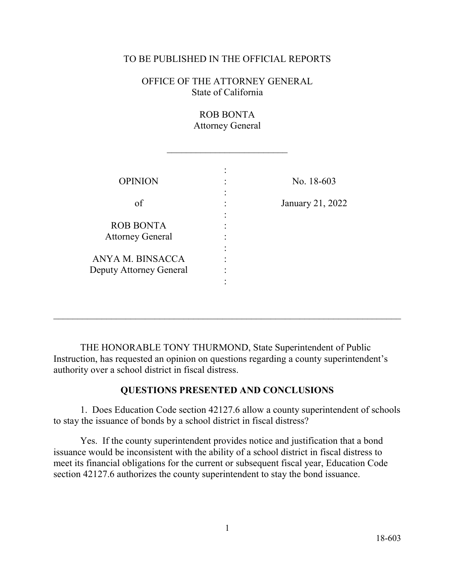#### TO BE PUBLISHED IN THE OFFICIAL REPORTS

OFFICE OF THE ATTORNEY GENERAL State of California

> ROB BONTA Attorney General

 $\frac{1}{2}$  ,  $\frac{1}{2}$  ,  $\frac{1}{2}$  ,  $\frac{1}{2}$  ,  $\frac{1}{2}$  ,  $\frac{1}{2}$  ,  $\frac{1}{2}$  ,  $\frac{1}{2}$  ,  $\frac{1}{2}$  ,  $\frac{1}{2}$  ,  $\frac{1}{2}$  ,  $\frac{1}{2}$  ,  $\frac{1}{2}$  ,  $\frac{1}{2}$  ,  $\frac{1}{2}$  ,  $\frac{1}{2}$  ,  $\frac{1}{2}$  ,  $\frac{1}{2}$  ,  $\frac{1$ 

| <b>OPINION</b>                              | No. 18-603       |
|---------------------------------------------|------------------|
| of                                          | January 21, 2022 |
| <b>ROB BONTA</b><br><b>Attorney General</b> |                  |
| ANYA M. BINSACCA<br>Deputy Attorney General |                  |
|                                             |                  |

 authority over a school district in fiscal distress. THE HONORABLE TONY THURMOND, State Superintendent of Public Instruction, has requested an opinion on questions regarding a county superintendent's

# **QUESTIONS PRESENTED AND CONCLUSIONS**

 $\_$  , and the contribution of the contribution of  $\mathcal{L}_1$  , and  $\mathcal{L}_2$  , and  $\mathcal{L}_3$  , and  $\mathcal{L}_4$  , and  $\mathcal{L}_5$ 

 1. Does Education Code section 42127.6 allow a county superintendent of schools to stay the issuance of bonds by a school district in fiscal distress?

Yes. If the county superintendent provides notice and justification that a bond issuance would be inconsistent with the ability of a school district in fiscal distress to meet its financial obligations for the current or subsequent fiscal year, Education Code section 42127.6 authorizes the county superintendent to stay the bond issuance.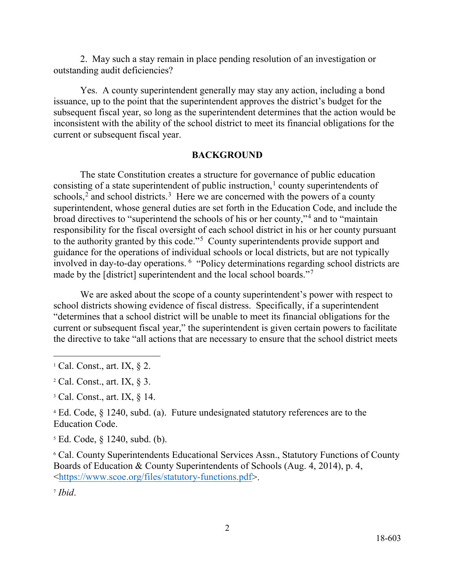outstanding audit deficiencies? 2. May such a stay remain in place pending resolution of an investigation or

 issuance, up to the point that the superintendent approves the district's budget for the subsequent fiscal year, so long as the superintendent determines that the action would be Yes. A county superintendent generally may stay any action, including a bond inconsistent with the ability of the school district to meet its financial obligations for the current or subsequent fiscal year.

#### **BACKGROUND**

schools,<sup>2</sup> and school districts.<sup>3</sup> Here we are concerned with the powers of a county responsibility for the fiscal oversight of each school district in his or her county pursuant to the authority granted by this code."<sup>5</sup> County superintendents provide support and involved in day-to-day operations. [6](#page-1-5) "Policy determinations regarding school districts are The state Constitution creates a structure for governance of public education consisting of a state superintendent of public instruction, $\frac{1}{2}$  $\frac{1}{2}$  $\frac{1}{2}$  county superintendents of superintendent, whose general duties are set forth in the Education Code, and include the broad directives to "superintend the schools of his or her county,"[4](#page-1-3) and to "maintain guidance for the operations of individual schools or local districts, but are not typically made by the [district] superintendent and the local school boards."<sup>7</sup>

 school districts showing evidence of fiscal distress. Specifically, if a superintendent the directive to take "all actions that are necessary to ensure that the school district meets We are asked about the scope of a county superintendent's power with respect to "determines that a school district will be unable to meet its financial obligations for the current or subsequent fiscal year," the superintendent is given certain powers to facilitate

<span id="page-1-3"></span>4 Ed. Code, § 1240, subd. (a). Future undesignated statutory references are to the Education Code.

<span id="page-1-5"></span><sup>6</sup> Cal. County Superintendents Educational Services Assn., Statutory Functions of County Boards of Education & County Superintendents of Schools (Aug. 4, 2014), p. 4, [<https://www.scoe.org/files/statutory-functions.pdf>](https://www.scoe.org/files/statutory-functions.pdf).

<span id="page-1-6"></span><sup>7</sup>*Ibid*.

<span id="page-1-0"></span><sup>&</sup>lt;sup>1</sup> Cal. Const., art. IX,  $\S$  2.

<span id="page-1-1"></span> $2$  Cal. Const., art. IX,  $\S$  3.

<span id="page-1-2"></span><sup>3</sup> Cal. Const., art. IX, § 14.

<span id="page-1-4"></span><sup>5</sup> Ed. Code, § 1240, subd. (b).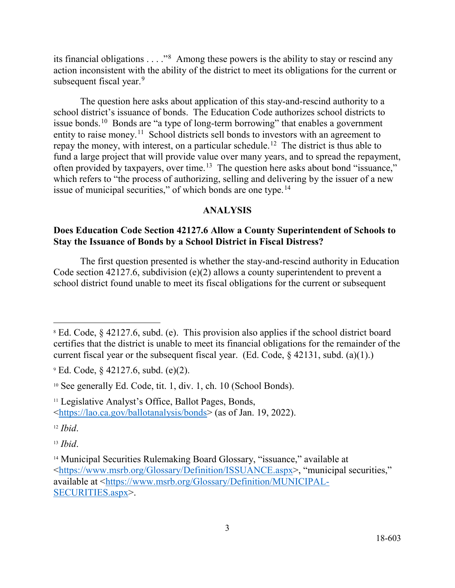its financial obligations  $\dots$ ."<sup>8</sup> Among these powers is the ability to stay or rescind any subsequent fiscal year.<sup>9</sup> action inconsistent with the ability of the district to meet its obligations for the current or

 school district's issuance of bonds. The Education Code authorizes school districts to issue [bonds.](https://bonds.10)<sup>10</sup> Bonds are "a type of long-term borrowing" that enables a government entity to raise [money.](https://money.11)<sup>11</sup> School districts sell bonds to investors with an agreement to repay the money, with interest, on a particular schedule.<sup>1[2](#page-2-4)</sup> The district is thus able to often provided by taxpayers, over time.<sup>13</sup> The question here asks about bond "issuance," The question here asks about application of this stay-and-rescind authority to a fund a large project that will provide value over many years, and to spread the repayment, which refers to "the process of authorizing, selling and delivering by the issuer of a new issue of municipal securities," of which bonds are one type.<sup>[14](#page-2-6)</sup>

## **ANALYSIS**

## **Does Education Code Section 42127.6 Allow a County Superintendent of Schools to Stay the Issuance of Bonds by a School District in Fiscal Distress?**

 Code section 42127.6, subdivision (e)(2) allows a county superintendent to prevent a The first question presented is whether the stay-and-rescind authority in Education school district found unable to meet its fiscal obligations for the current or subsequent

<span id="page-2-4"></span><sup>12</sup>*Ibid*.

 $\overline{a}$ 

<span id="page-2-5"></span><sup>13</sup>*Ibid*.

<span id="page-2-0"></span> certifies that the district is unable to meet its financial obligations for the remainder of the 8 Ed. Code, § 42127.6, subd. (e). This provision also applies if the school district board current fiscal year or the subsequent fiscal year. (Ed. Code,  $\S$  42131, subd. (a)(1).)

<span id="page-2-1"></span><sup>9</sup> Ed. Code, § 42127.6, subd. (e)(2).

<span id="page-2-2"></span><sup>10</sup> See generally Ed. Code, tit. 1, div. 1, ch. 10 (School Bonds).

<span id="page-2-3"></span><sup>&</sup>lt;sup>11</sup> Legislative Analyst's Office, Ballot Pages, Bonds, [<https://lao.ca.gov/ballotanalysis/bonds>](https://lao.ca.gov/ballotanalysis/bonds) (as of Jan. 19, 2022).

<span id="page-2-6"></span><sup>&</sup>lt;sup>14</sup> Municipal Securities Rulemaking Board Glossary, "issuance," available at [<https://www.msrb.org/Glossary/Definition/ISSUANCE.aspx>](https://www.msrb.org/Glossary/Definition/ISSUANCE.aspx), "municipal securities," available at [<https://www.msrb.org/Glossary/Definition/MUNICIPAL-](https://www.msrb.org/Glossary/Definition/MUNICIPAL-SECURITIES.aspx)[SECURITIES.aspx>](https://www.msrb.org/Glossary/Definition/MUNICIPAL-SECURITIES.aspx).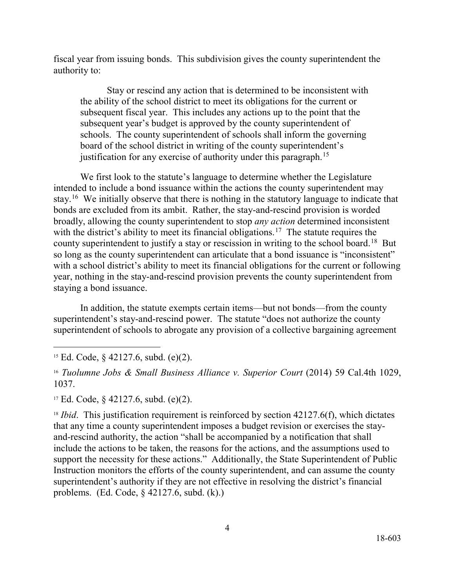fiscal year from issuing bonds. This subdivision gives the county superintendent the authority to:

 subsequent fiscal year. This includes any actions up to the point that the schools. The county superintendent of schools shall inform the governing justification for any exercise of authority under this paragraph.<sup>1[5](#page-3-0)</sup> Stay or rescind any action that is determined to be inconsistent with the ability of the school district to meet its obligations for the current or subsequent year's budget is approved by the county superintendent of board of the school district in writing of the county superintendent's

stay.<sup>[16](#page-3-1)</sup> We initially observe that there is nothing in the statutory language to indicate that bonds are excluded from its ambit. Rather, the stay-and-rescind provision is worded with the district's ability to meet its financial [obligations.](https://obligations.17)<sup>[17](#page-3-2)</sup> The statute requires the county superintendent to justify a stay or rescission in writing to the school [board.](https://board.18)<sup>18</sup> But year, nothing in the stay-and-rescind provision prevents the county superintendent from staying a bond issuance. We first look to the statute's language to determine whether the Legislature intended to include a bond issuance within the actions the county superintendent may broadly, allowing the county superintendent to stop *any action* determined inconsistent so long as the county superintendent can articulate that a bond issuance is "inconsistent" with a school district's ability to meet its financial obligations for the current or following

In addition, the statute exempts certain items—but not bonds—from the county superintendent's stay-and-rescind power. The statute "does not authorize the county superintendent of schools to abrogate any provision of a collective bargaining agreement

 $\overline{a}$ 

<span id="page-3-3"></span> superintendent's authority if they are not effective in resolving the district's financial <sup>18</sup> *Ibid*. This justification requirement is reinforced by section 42127.6(f), which dictates that any time a county superintendent imposes a budget revision or exercises the stayand-rescind authority, the action "shall be accompanied by a notification that shall include the actions to be taken, the reasons for the actions, and the assumptions used to support the necessity for these actions." Additionally, the State Superintendent of Public Instruction monitors the efforts of the county superintendent, and can assume the county problems. (Ed. Code, § 42127.6, subd. (k).)

<span id="page-3-0"></span> 15 Ed. Code, § 42127.6, subd. (e)(2).

<span id="page-3-1"></span><sup>&</sup>lt;sup>16</sup> Tuolumne Jobs & Small Business Alliance v. Superior Court (2014) 59 Cal.4th 1029, 1037.

<span id="page-3-2"></span><sup>&</sup>lt;sup>17</sup> Ed. Code, § 42127.6, subd. (e)(2).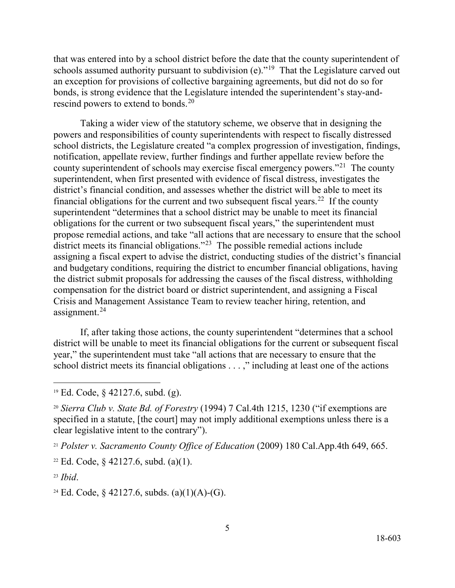schools assumed authority pursuant to subdivision  $(e)$ ."<sup>19</sup> That the Legislature carved out that was entered into by a school district before the date that the county superintendent of an exception for provisions of collective bargaining agreements, but did not do so for bonds, is strong evidence that the Legislature intended the superintendent's stay-andrescind powers to extend to [bonds.](https://bonds.20)<sup>20</sup>

 Taking a wider view of the statutory scheme, we observe that in designing the county superintendent of schools may exercise fiscal emergency powers."<sup>21</sup> The county superintendent, when first presented with evidence of fiscal distress, investigates the district's financial condition, and assesses whether the district will be able to meet its financial obligations for the current and two subsequent fiscal years.<sup>[2](#page-4-3)2</sup> If the county district meets its financial obligations."<sup>[23](#page-4-4)</sup> The possible remedial actions include [assignment.](https://assignment.24)<sup>24</sup> powers and responsibilities of county superintendents with respect to fiscally distressed school districts, the Legislature created "a complex progression of investigation, findings, notification, appellate review, further findings and further appellate review before the superintendent "determines that a school district may be unable to meet its financial obligations for the current or two subsequent fiscal years," the superintendent must propose remedial actions, and take "all actions that are necessary to ensure that the school assigning a fiscal expert to advise the district, conducting studies of the district's financial and budgetary conditions, requiring the district to encumber financial obligations, having the district submit proposals for addressing the causes of the fiscal distress, withholding compensation for the district board or district superintendent, and assigning a Fiscal Crisis and Management Assistance Team to review teacher hiring, retention, and

If, after taking those actions, the county superintendent "determines that a school district will be unable to meet its financial obligations for the current or subsequent fiscal year," the superintendent must take "all actions that are necessary to ensure that the school district meets its financial obligations . . . ," including at least one of the actions

<span id="page-4-2"></span><sup>21</sup>*Polster v. Sacramento County Office of Education* (2009) 180 Cal.App.4th 649, 665.

<span id="page-4-0"></span><sup>19</sup> Ed. Code, § 42127.6, subd. (g).

<span id="page-4-1"></span> specified in a statute, [the court] may not imply additional exemptions unless there is a <sup>20</sup>*Sierra Club v. State Bd. of Forestry* (1994) 7 Cal.4th 1215, 1230 ("if exemptions are clear legislative intent to the contrary").

<span id="page-4-3"></span><sup>&</sup>lt;sup>22</sup> Ed. Code, § 42127.6, subd. (a)(1).

<span id="page-4-4"></span> <sup>23</sup>*Ibid*.

<span id="page-4-5"></span><sup>&</sup>lt;sup>24</sup> Ed. Code, § 42127.6, subds. (a)(1)(A)-(G).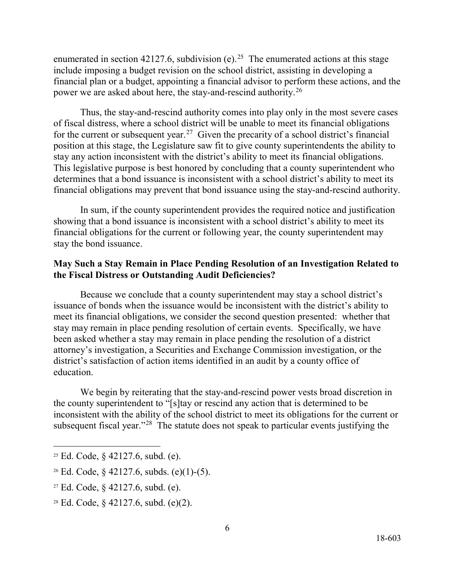enumerated in section 42127.6, subdivision (e).<sup>[25](#page-5-0)</sup> The enumerated actions at this stage power we are asked about here, the stay-and-rescind authority.<sup>26</sup> include imposing a budget revision on the school district, assisting in developing a financial plan or a budget, appointing a financial advisor to perform these actions, and the

for the current or subsequent year.<sup>27</sup> Given the precarity of a school district's financial position at this stage, the Legislature saw fit to give county superintendents the ability to This legislative purpose is best honored by concluding that a county superintendent who Thus, the stay-and-rescind authority comes into play only in the most severe cases of fiscal distress, where a school district will be unable to meet its financial obligations stay any action inconsistent with the district's ability to meet its financial obligations. determines that a bond issuance is inconsistent with a school district's ability to meet its financial obligations may prevent that bond issuance using the stay-and-rescind authority.

 stay the bond issuance. In sum, if the county superintendent provides the required notice and justification showing that a bond issuance is inconsistent with a school district's ability to meet its financial obligations for the current or following year, the county superintendent may

## **May Such a Stay Remain in Place Pending Resolution of an Investigation Related to the Fiscal Distress or Outstanding Audit Deficiencies?**

 issuance of bonds when the issuance would be inconsistent with the district's ability to been asked whether a stay may remain in place pending the resolution of a district district's satisfaction of action items identified in an audit by a county office of education. Because we conclude that a county superintendent may stay a school district's meet its financial obligations, we consider the second question presented: whether that stay may remain in place pending resolution of certain events. Specifically, we have attorney's investigation, a Securities and Exchange Commission investigation, or the

subsequent fiscal year."<sup>28</sup> The statute does not speak to particular events justifying the We begin by reiterating that the stay-and-rescind power vests broad discretion in the county superintendent to "[s]tay or rescind any action that is determined to be inconsistent with the ability of the school district to meet its obligations for the current or

<span id="page-5-0"></span><sup>25</sup> Ed. Code, § 42127.6, subd. (e).

<span id="page-5-1"></span><sup>&</sup>lt;sup>26</sup> Ed. Code,  $\frac{6}{7}$  42127.6, subds. (e)(1)-(5).

<span id="page-5-2"></span><sup>27</sup> Ed. Code, § 42127.6, subd. (e).

<span id="page-5-3"></span> 28 Ed. Code, § 42127.6, subd. (e)(2).